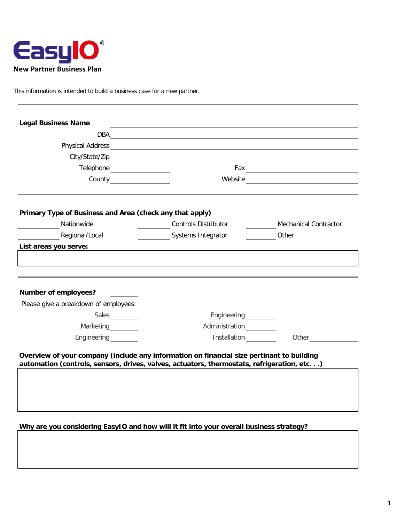

This information is intended to build a business case for a new partner.

| <b>Legal Business Name</b>                                                                                                                                                              | the contract of the contract of the contract of the contract of the contract of the contract of the contract of                                                                                                                      |                              |
|-----------------------------------------------------------------------------------------------------------------------------------------------------------------------------------------|--------------------------------------------------------------------------------------------------------------------------------------------------------------------------------------------------------------------------------------|------------------------------|
|                                                                                                                                                                                         | DBA <u>and the contract of the contract of the contract of the contract of the contract of the contract of the contract of the contract of the contract of the contract of the contract of the contract of the contract of the c</u> |                              |
|                                                                                                                                                                                         |                                                                                                                                                                                                                                      |                              |
|                                                                                                                                                                                         |                                                                                                                                                                                                                                      |                              |
| Telephone __________________                                                                                                                                                            |                                                                                                                                                                                                                                      |                              |
| County <u>County Counts</u>                                                                                                                                                             |                                                                                                                                                                                                                                      |                              |
| Primary Type of Business and Area (check any that apply)                                                                                                                                |                                                                                                                                                                                                                                      |                              |
| Nationwide                                                                                                                                                                              | <b>Controls Distributor</b>                                                                                                                                                                                                          | <b>Mechanical Contractor</b> |
| Regional/Local                                                                                                                                                                          | Systems Integrator                                                                                                                                                                                                                   | Other                        |
| List areas you serve:                                                                                                                                                                   |                                                                                                                                                                                                                                      |                              |
| <b>Number of employees?</b><br>Please give a breakdown of employees:                                                                                                                    |                                                                                                                                                                                                                                      |                              |
| Sales                                                                                                                                                                                   |                                                                                                                                                                                                                                      |                              |
| Marketing<br><u></u>                                                                                                                                                                    | Administration                                                                                                                                                                                                                       |                              |
| Engineering                                                                                                                                                                             | Installation                                                                                                                                                                                                                         | Other $\qquad \qquad \qquad$ |
| Overview of your company (include any information on financial size pertinant to building<br>automation (controls, sensors, drives, valves, actuators, thermostats, refrigeration, etc) |                                                                                                                                                                                                                                      |                              |

**Why are you considering EasyIO and how will it fit into your overall business strategy?**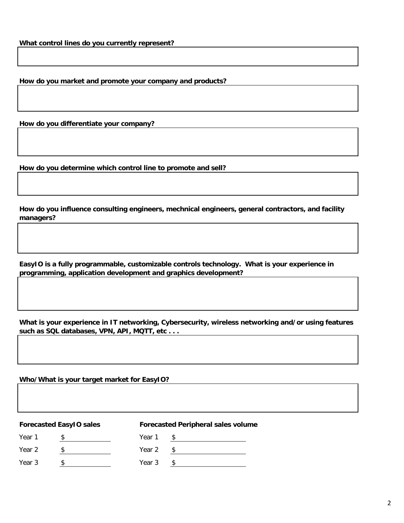**How do you market and promote your company and products?**

**How do you differentiate your company?**

**How do you determine which control line to promote and sell?**

**How do you influence consulting engineers, mechnical engineers, general contractors, and facility managers?**

**EasyIO is a fully programmable, customizable controls technology. What is your experience in programming, application development and graphics development?**

**What is your experience in IT networking, Cybersecurity, wireless networking and/or using features such as SQL databases, VPN, API, MQTT, etc . . .**

**Who/What is your target market for EasyIO?**

## **Forecasted EasyIO sales Forecasted Peripheral sales volume**

Year 1 \$ Year 1 \$ Year 1 \$

Year 2  $\frac{\$}{\$}$  Year 2  $\frac{\$}{\$}$ 

Year 3 \$ Year 3 \$